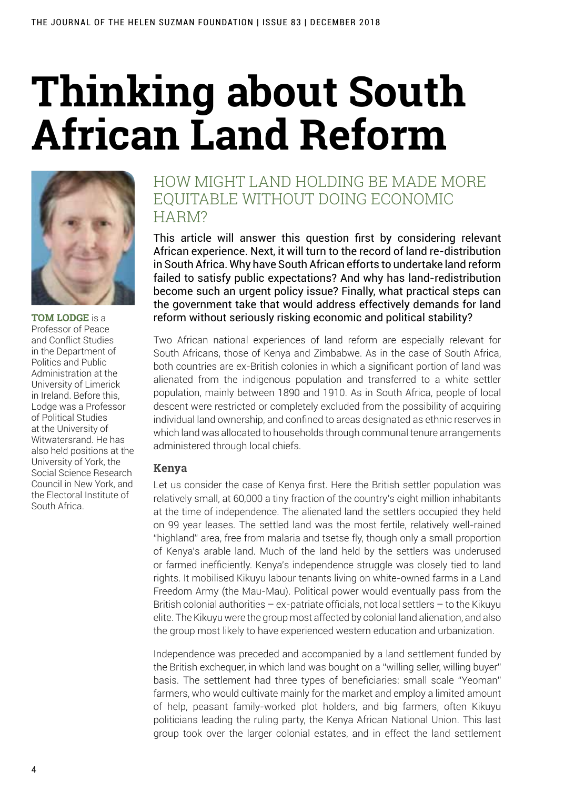# **Thinking about South African Land Reform**



**TOM LODGE** is a Professor of Peace and Conflict Studies in the Department of Politics and Public Administration at the University of Limerick in Ireland. Before this, Lodge was a Professor of Political Studies at the University of Witwatersrand. He has also held positions at the University of York, the Social Science Research Council in New York, and the Electoral Institute of South Africa.

# How might land holding be made more FOUITABLE WITHOUT DOING ECONOMIC HARM?

This article will answer this question first by considering relevant African experience. Next, it will turn to the record of land re-distribution in South Africa. Why have South African efforts to undertake land reform failed to satisfy public expectations? And why has land-redistribution become such an urgent policy issue? Finally, what practical steps can the government take that would address effectively demands for land reform without seriously risking economic and political stability?

Two African national experiences of land reform are especially relevant for South Africans, those of Kenya and Zimbabwe. As in the case of South Africa, both countries are ex-British colonies in which a significant portion of land was alienated from the indigenous population and transferred to a white settler population, mainly between 1890 and 1910. As in South Africa, people of local descent were restricted or completely excluded from the possibility of acquiring individual land ownership, and confined to areas designated as ethnic reserves in which land was allocated to households through communal tenure arrangements administered through local chiefs.

# **Kenya**

Let us consider the case of Kenya first. Here the British settler population was relatively small, at 60,000 a tiny fraction of the country's eight million inhabitants at the time of independence. The alienated land the settlers occupied they held on 99 year leases. The settled land was the most fertile, relatively well-rained "highland" area, free from malaria and tsetse fly, though only a small proportion of Kenya's arable land. Much of the land held by the settlers was underused or farmed inefficiently. Kenya's independence struggle was closely tied to land rights. It mobilised Kikuyu labour tenants living on white-owned farms in a Land Freedom Army (the Mau-Mau). Political power would eventually pass from the British colonial authorities – ex-patriate officials, not local settlers – to the Kikuyu elite. The Kikuyu were the group most affected by colonial land alienation, and also the group most likely to have experienced western education and urbanization.

Independence was preceded and accompanied by a land settlement funded by the British exchequer, in which land was bought on a "willing seller, willing buyer" basis. The settlement had three types of beneficiaries: small scale "Yeoman" farmers, who would cultivate mainly for the market and employ a limited amount of help, peasant family-worked plot holders, and big farmers, often Kikuyu politicians leading the ruling party, the Kenya African National Union. This last group took over the larger colonial estates, and in effect the land settlement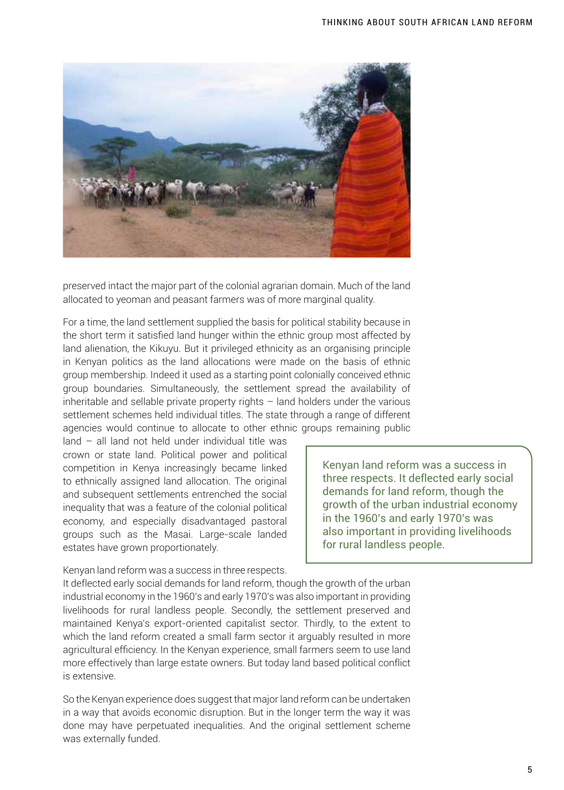

preserved intact the major part of the colonial agrarian domain. Much of the land allocated to yeoman and peasant farmers was of more marginal quality.

For a time, the land settlement supplied the basis for political stability because in the short term it satisfied land hunger within the ethnic group most affected by land alienation, the Kikuyu. But it privileged ethnicity as an organising principle in Kenyan politics as the land allocations were made on the basis of ethnic group membership. Indeed it used as a starting point colonially conceived ethnic group boundaries. Simultaneously, the settlement spread the availability of inheritable and sellable private property rights – land holders under the various settlement schemes held individual titles. The state through a range of different agencies would continue to allocate to other ethnic groups remaining public

land – all land not held under individual title was crown or state land. Political power and political competition in Kenya increasingly became linked to ethnically assigned land allocation. The original and subsequent settlements entrenched the social inequality that was a feature of the colonial political economy, and especially disadvantaged pastoral groups such as the Masai. Large-scale landed estates have grown proportionately.

Kenyan land reform was a success in three respects. It deflected early social demands for land reform, though the growth of the urban industrial economy in the 1960's and early 1970's was also important in providing livelihoods for rural landless people.

Kenyan land reform was a success in three respects.

It deflected early social demands for land reform, though the growth of the urban industrial economy in the 1960's and early 1970's was also important in providing livelihoods for rural landless people. Secondly, the settlement preserved and maintained Kenya's export-oriented capitalist sector. Thirdly, to the extent to which the land reform created a small farm sector it arguably resulted in more agricultural efficiency. In the Kenyan experience, small farmers seem to use land more effectively than large estate owners. But today land based political conflict is extensive.

So the Kenyan experience does suggest that major land reform can be undertaken in a way that avoids economic disruption. But in the longer term the way it was done may have perpetuated inequalities. And the original settlement scheme was externally funded.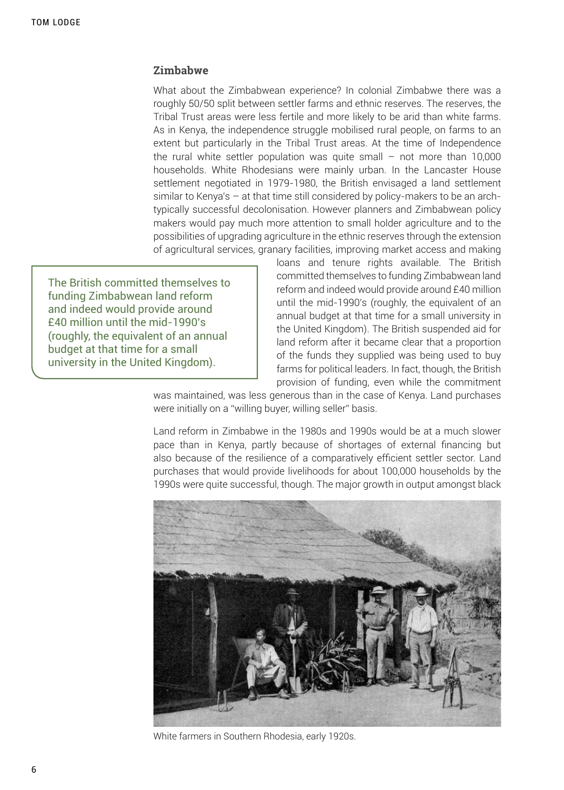### **Zimbabwe**

What about the Zimbabwean experience? In colonial Zimbabwe there was a roughly 50/50 split between settler farms and ethnic reserves. The reserves, the Tribal Trust areas were less fertile and more likely to be arid than white farms. As in Kenya, the independence struggle mobilised rural people, on farms to an extent but particularly in the Tribal Trust areas. At the time of Independence the rural white settler population was quite small – not more than 10,000 households. White Rhodesians were mainly urban. In the Lancaster House settlement negotiated in 1979-1980, the British envisaged a land settlement similar to Kenya's – at that time still considered by policy-makers to be an archtypically successful decolonisation. However planners and Zimbabwean policy makers would pay much more attention to small holder agriculture and to the possibilities of upgrading agriculture in the ethnic reserves through the extension of agricultural services, granary facilities, improving market access and making

The British committed themselves to funding Zimbabwean land reform and indeed would provide around £40 million until the mid-1990's (roughly, the equivalent of an annual budget at that time for a small university in the United Kingdom).

loans and tenure rights available. The British committed themselves to funding Zimbabwean land reform and indeed would provide around £40 million until the mid-1990's (roughly, the equivalent of an annual budget at that time for a small university in the United Kingdom). The British suspended aid for land reform after it became clear that a proportion of the funds they supplied was being used to buy farms for political leaders. In fact, though, the British provision of funding, even while the commitment

was maintained, was less generous than in the case of Kenya. Land purchases were initially on a "willing buyer, willing seller" basis.

Land reform in Zimbabwe in the 1980s and 1990s would be at a much slower pace than in Kenya, partly because of shortages of external financing but also because of the resilience of a comparatively efficient settler sector. Land purchases that would provide livelihoods for about 100,000 households by the 1990s were quite successful, though. The major growth in output amongst black



White farmers in Southern Rhodesia, early 1920s.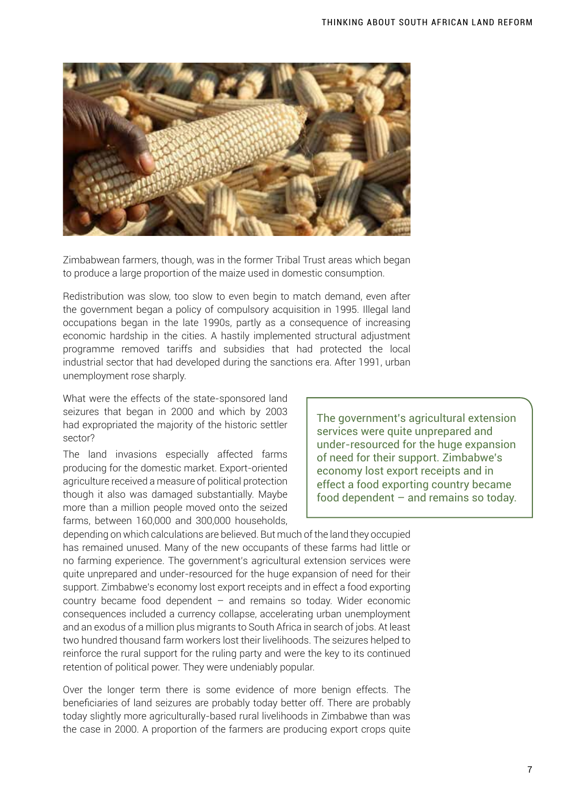

Zimbabwean farmers, though, was in the former Tribal Trust areas which began to produce a large proportion of the maize used in domestic consumption.

Redistribution was slow, too slow to even begin to match demand, even after the government began a policy of compulsory acquisition in 1995. Illegal land occupations began in the late 1990s, partly as a consequence of increasing economic hardship in the cities. A hastily implemented structural adjustment programme removed tariffs and subsidies that had protected the local industrial sector that had developed during the sanctions era. After 1991, urban unemployment rose sharply.

What were the effects of the state-sponsored land seizures that began in 2000 and which by 2003 had expropriated the majority of the historic settler sector?

The land invasions especially affected farms producing for the domestic market. Export-oriented agriculture received a measure of political protection though it also was damaged substantially. Maybe more than a million people moved onto the seized farms, between 160,000 and 300,000 households,

The government's agricultural extension services were quite unprepared and under-resourced for the huge expansion of need for their support. Zimbabwe's economy lost export receipts and in effect a food exporting country became food dependent – and remains so today.

depending on which calculations are believed. But much of the land they occupied has remained unused. Many of the new occupants of these farms had little or no farming experience. The government's agricultural extension services were quite unprepared and under-resourced for the huge expansion of need for their support. Zimbabwe's economy lost export receipts and in effect a food exporting country became food dependent – and remains so today. Wider economic consequences included a currency collapse, accelerating urban unemployment and an exodus of a million plus migrants to South Africa in search of jobs. At least two hundred thousand farm workers lost their livelihoods. The seizures helped to reinforce the rural support for the ruling party and were the key to its continued retention of political power. They were undeniably popular.

Over the longer term there is some evidence of more benign effects. The beneficiaries of land seizures are probably today better off. There are probably today slightly more agriculturally-based rural livelihoods in Zimbabwe than was the case in 2000. A proportion of the farmers are producing export crops quite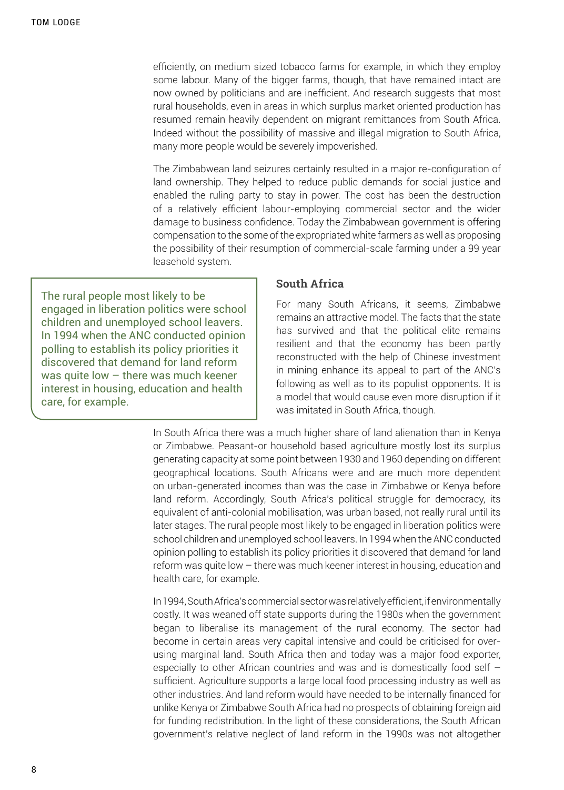efficiently, on medium sized tobacco farms for example, in which they employ some labour. Many of the bigger farms, though, that have remained intact are now owned by politicians and are inefficient. And research suggests that most rural households, even in areas in which surplus market oriented production has resumed remain heavily dependent on migrant remittances from South Africa. Indeed without the possibility of massive and illegal migration to South Africa, many more people would be severely impoverished.

The Zimbabwean land seizures certainly resulted in a major re-configuration of land ownership. They helped to reduce public demands for social justice and enabled the ruling party to stay in power. The cost has been the destruction of a relatively efficient labour-employing commercial sector and the wider damage to business confidence. Today the Zimbabwean government is offering compensation to the some of the expropriated white farmers as well as proposing the possibility of their resumption of commercial-scale farming under a 99 year leasehold system.

The rural people most likely to be engaged in liberation politics were school children and unemployed school leavers. In 1994 when the ANC conducted opinion polling to establish its policy priorities it discovered that demand for land reform was quite low – there was much keener interest in housing, education and health care, for example.

#### **South Africa**

For many South Africans, it seems, Zimbabwe remains an attractive model. The facts that the state has survived and that the political elite remains resilient and that the economy has been partly reconstructed with the help of Chinese investment in mining enhance its appeal to part of the ANC's following as well as to its populist opponents. It is a model that would cause even more disruption if it was imitated in South Africa, though.

In South Africa there was a much higher share of land alienation than in Kenya or Zimbabwe. Peasant-or household based agriculture mostly lost its surplus generating capacity at some point between 1930 and 1960 depending on different geographical locations. South Africans were and are much more dependent on urban-generated incomes than was the case in Zimbabwe or Kenya before land reform. Accordingly, South Africa's political struggle for democracy, its equivalent of anti-colonial mobilisation, was urban based, not really rural until its later stages. The rural people most likely to be engaged in liberation politics were school children and unemployed school leavers. In 1994 when the ANC conducted opinion polling to establish its policy priorities it discovered that demand for land reform was quite low – there was much keener interest in housing, education and health care, for example.

In 1994, South Africa's commercial sector was relatively efficient, if environmentally costly. It was weaned off state supports during the 1980s when the government began to liberalise its management of the rural economy. The sector had become in certain areas very capital intensive and could be criticised for overusing marginal land. South Africa then and today was a major food exporter, especially to other African countries and was and is domestically food self – sufficient. Agriculture supports a large local food processing industry as well as other industries. And land reform would have needed to be internally financed for unlike Kenya or Zimbabwe South Africa had no prospects of obtaining foreign aid for funding redistribution. In the light of these considerations, the South African government's relative neglect of land reform in the 1990s was not altogether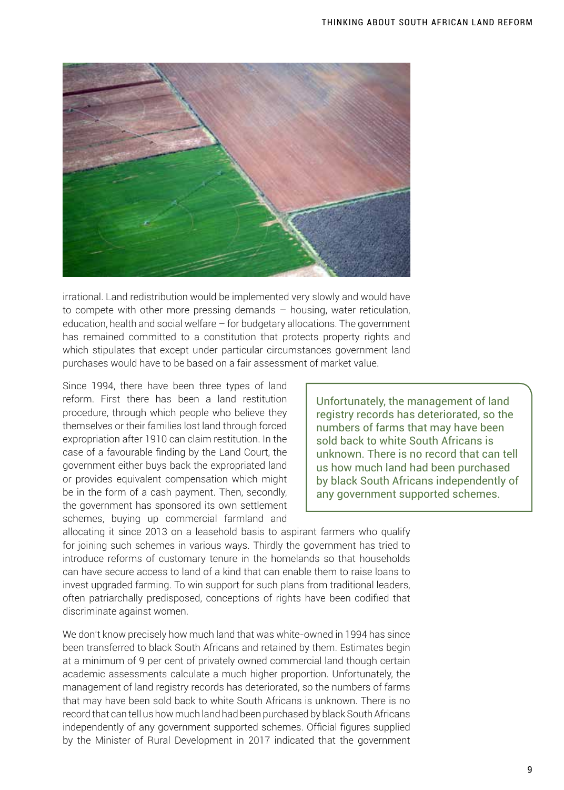

irrational. Land redistribution would be implemented very slowly and would have to compete with other more pressing demands – housing, water reticulation, education, health and social welfare – for budgetary allocations. The government has remained committed to a constitution that protects property rights and which stipulates that except under particular circumstances government land purchases would have to be based on a fair assessment of market value.

Since 1994, there have been three types of land reform. First there has been a land restitution procedure, through which people who believe they themselves or their families lost land through forced expropriation after 1910 can claim restitution. In the case of a favourable finding by the Land Court, the government either buys back the expropriated land or provides equivalent compensation which might be in the form of a cash payment. Then, secondly, the government has sponsored its own settlement schemes, buying up commercial farmland and

Unfortunately, the management of land registry records has deteriorated, so the numbers of farms that may have been sold back to white South Africans is unknown. There is no record that can tell us how much land had been purchased by black South Africans independently of any government supported schemes.

allocating it since 2013 on a leasehold basis to aspirant farmers who qualify for joining such schemes in various ways. Thirdly the government has tried to introduce reforms of customary tenure in the homelands so that households can have secure access to land of a kind that can enable them to raise loans to invest upgraded farming. To win support for such plans from traditional leaders, often patriarchally predisposed, conceptions of rights have been codified that discriminate against women.

We don't know precisely how much land that was white-owned in 1994 has since been transferred to black South Africans and retained by them. Estimates begin at a minimum of 9 per cent of privately owned commercial land though certain academic assessments calculate a much higher proportion. Unfortunately, the management of land registry records has deteriorated, so the numbers of farms that may have been sold back to white South Africans is unknown. There is no record that can tell us how much land had been purchased by black South Africans independently of any government supported schemes. Official figures supplied by the Minister of Rural Development in 2017 indicated that the government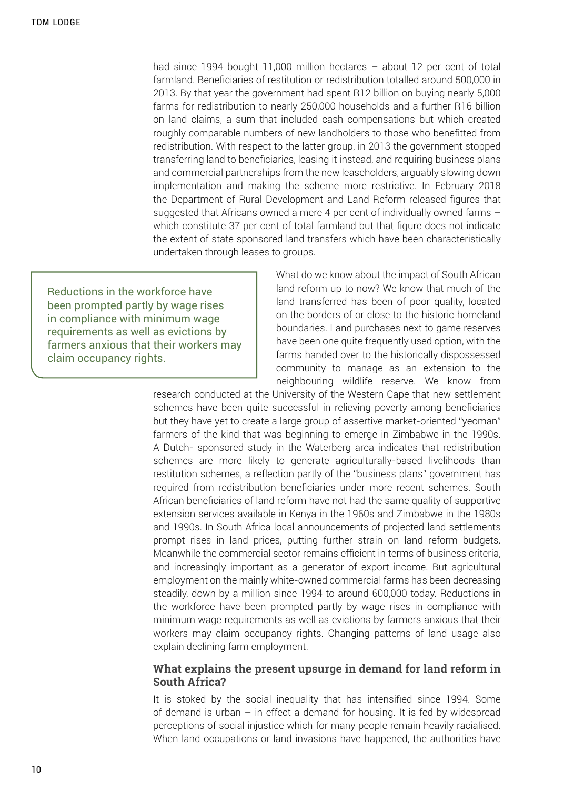had since 1994 bought 11,000 million hectares – about 12 per cent of total farmland. Beneficiaries of restitution or redistribution totalled around 500,000 in 2013. By that year the government had spent R12 billion on buying nearly 5,000 farms for redistribution to nearly 250,000 households and a further R16 billion on land claims, a sum that included cash compensations but which created roughly comparable numbers of new landholders to those who benefitted from redistribution. With respect to the latter group, in 2013 the government stopped transferring land to beneficiaries, leasing it instead, and requiring business plans and commercial partnerships from the new leaseholders, arguably slowing down implementation and making the scheme more restrictive. In February 2018 the Department of Rural Development and Land Reform released figures that suggested that Africans owned a mere 4 per cent of individually owned farms – which constitute 37 per cent of total farmland but that figure does not indicate the extent of state sponsored land transfers which have been characteristically undertaken through leases to groups.

Reductions in the workforce have been prompted partly by wage rises in compliance with minimum wage requirements as well as evictions by farmers anxious that their workers may claim occupancy rights.

What do we know about the impact of South African land reform up to now? We know that much of the land transferred has been of poor quality, located on the borders of or close to the historic homeland boundaries. Land purchases next to game reserves have been one quite frequently used option, with the farms handed over to the historically dispossessed community to manage as an extension to the neighbouring wildlife reserve. We know from

research conducted at the University of the Western Cape that new settlement schemes have been quite successful in relieving poverty among beneficiaries but they have yet to create a large group of assertive market-oriented "yeoman" farmers of the kind that was beginning to emerge in Zimbabwe in the 1990s. A Dutch- sponsored study in the Waterberg area indicates that redistribution schemes are more likely to generate agriculturally-based livelihoods than restitution schemes, a reflection partly of the "business plans" government has required from redistribution beneficiaries under more recent schemes. South African beneficiaries of land reform have not had the same quality of supportive extension services available in Kenya in the 1960s and Zimbabwe in the 1980s and 1990s. In South Africa local announcements of projected land settlements prompt rises in land prices, putting further strain on land reform budgets. Meanwhile the commercial sector remains efficient in terms of business criteria, and increasingly important as a generator of export income. But agricultural employment on the mainly white-owned commercial farms has been decreasing steadily, down by a million since 1994 to around 600,000 today. Reductions in the workforce have been prompted partly by wage rises in compliance with minimum wage requirements as well as evictions by farmers anxious that their workers may claim occupancy rights. Changing patterns of land usage also explain declining farm employment.

#### **What explains the present upsurge in demand for land reform in South Africa?**

It is stoked by the social inequality that has intensified since 1994. Some of demand is urban – in effect a demand for housing. It is fed by widespread perceptions of social injustice which for many people remain heavily racialised. When land occupations or land invasions have happened, the authorities have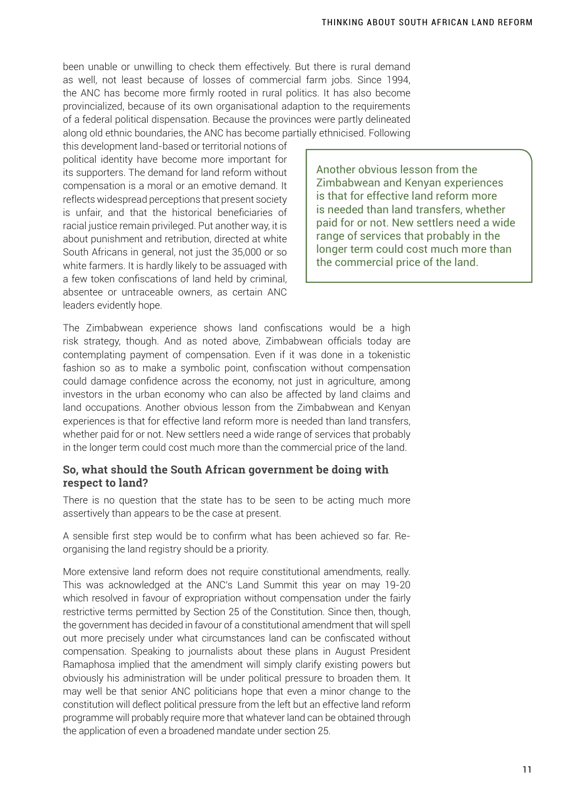been unable or unwilling to check them effectively. But there is rural demand as well, not least because of losses of commercial farm jobs. Since 1994, the ANC has become more firmly rooted in rural politics. It has also become provincialized, because of its own organisational adaption to the requirements of a federal political dispensation. Because the provinces were partly delineated along old ethnic boundaries, the ANC has become partially ethnicised. Following

this development land-based or territorial notions of political identity have become more important for its supporters. The demand for land reform without compensation is a moral or an emotive demand. It reflects widespread perceptions that present society is unfair, and that the historical beneficiaries of racial justice remain privileged. Put another way, it is about punishment and retribution, directed at white South Africans in general, not just the 35,000 or so white farmers. It is hardly likely to be assuaged with a few token confiscations of land held by criminal, absentee or untraceable owners, as certain ANC leaders evidently hope.

Another obvious lesson from the Zimbabwean and Kenyan experiences is that for effective land reform more is needed than land transfers, whether paid for or not. New settlers need a wide range of services that probably in the longer term could cost much more than the commercial price of the land.

The Zimbabwean experience shows land confiscations would be a high risk strategy, though. And as noted above, Zimbabwean officials today are contemplating payment of compensation. Even if it was done in a tokenistic fashion so as to make a symbolic point, confiscation without compensation could damage confidence across the economy, not just in agriculture, among investors in the urban economy who can also be affected by land claims and land occupations. Another obvious lesson from the Zimbabwean and Kenyan experiences is that for effective land reform more is needed than land transfers, whether paid for or not. New settlers need a wide range of services that probably in the longer term could cost much more than the commercial price of the land.

### **So, what should the South African government be doing with respect to land?**

There is no question that the state has to be seen to be acting much more assertively than appears to be the case at present.

A sensible first step would be to confirm what has been achieved so far. Reorganising the land registry should be a priority.

More extensive land reform does not require constitutional amendments, really. This was acknowledged at the ANC's Land Summit this year on may 19-20 which resolved in favour of expropriation without compensation under the fairly restrictive terms permitted by Section 25 of the Constitution. Since then, though, the government has decided in favour of a constitutional amendment that will spell out more precisely under what circumstances land can be confiscated without compensation. Speaking to journalists about these plans in August President Ramaphosa implied that the amendment will simply clarify existing powers but obviously his administration will be under political pressure to broaden them. It may well be that senior ANC politicians hope that even a minor change to the constitution will deflect political pressure from the left but an effective land reform programme will probably require more that whatever land can be obtained through the application of even a broadened mandate under section 25.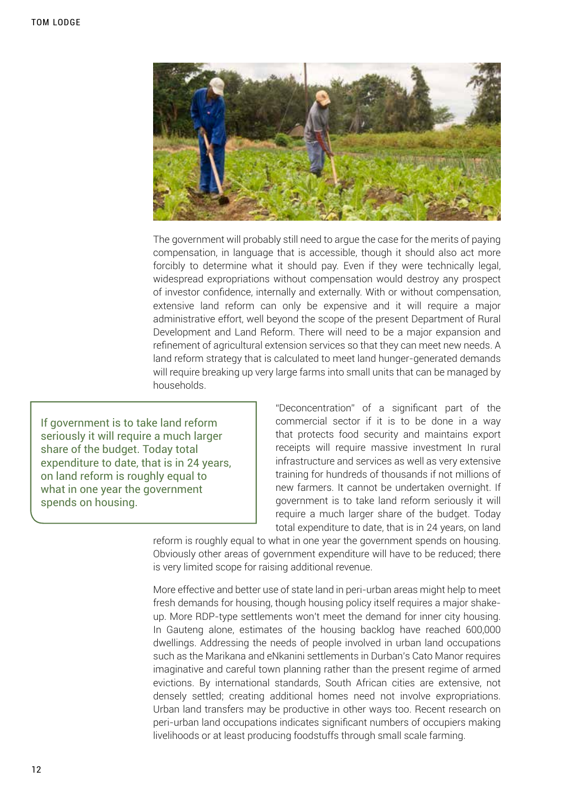

The government will probably still need to argue the case for the merits of paying compensation, in language that is accessible, though it should also act more forcibly to determine what it should pay. Even if they were technically legal, widespread expropriations without compensation would destroy any prospect of investor confidence, internally and externally. With or without compensation, extensive land reform can only be expensive and it will require a major administrative effort, well beyond the scope of the present Department of Rural Development and Land Reform. There will need to be a major expansion and refinement of agricultural extension services so that they can meet new needs. A land reform strategy that is calculated to meet land hunger-generated demands will require breaking up very large farms into small units that can be managed by households.

If government is to take land reform seriously it will require a much larger share of the budget. Today total expenditure to date, that is in 24 years, on land reform is roughly equal to what in one year the government spends on housing.

"Deconcentration" of a significant part of the commercial sector if it is to be done in a way that protects food security and maintains export receipts will require massive investment In rural infrastructure and services as well as very extensive training for hundreds of thousands if not millions of new farmers. It cannot be undertaken overnight. If government is to take land reform seriously it will require a much larger share of the budget. Today total expenditure to date, that is in 24 years, on land

reform is roughly equal to what in one year the government spends on housing. Obviously other areas of government expenditure will have to be reduced; there is very limited scope for raising additional revenue.

More effective and better use of state land in peri-urban areas might help to meet fresh demands for housing, though housing policy itself requires a major shakeup. More RDP-type settlements won't meet the demand for inner city housing. In Gauteng alone, estimates of the housing backlog have reached 600,000 dwellings. Addressing the needs of people involved in urban land occupations such as the Marikana and eNkanini settlements in Durban's Cato Manor requires imaginative and careful town planning rather than the present regime of armed evictions. By international standards, South African cities are extensive, not densely settled; creating additional homes need not involve expropriations. Urban land transfers may be productive in other ways too. Recent research on peri-urban land occupations indicates significant numbers of occupiers making livelihoods or at least producing foodstuffs through small scale farming.